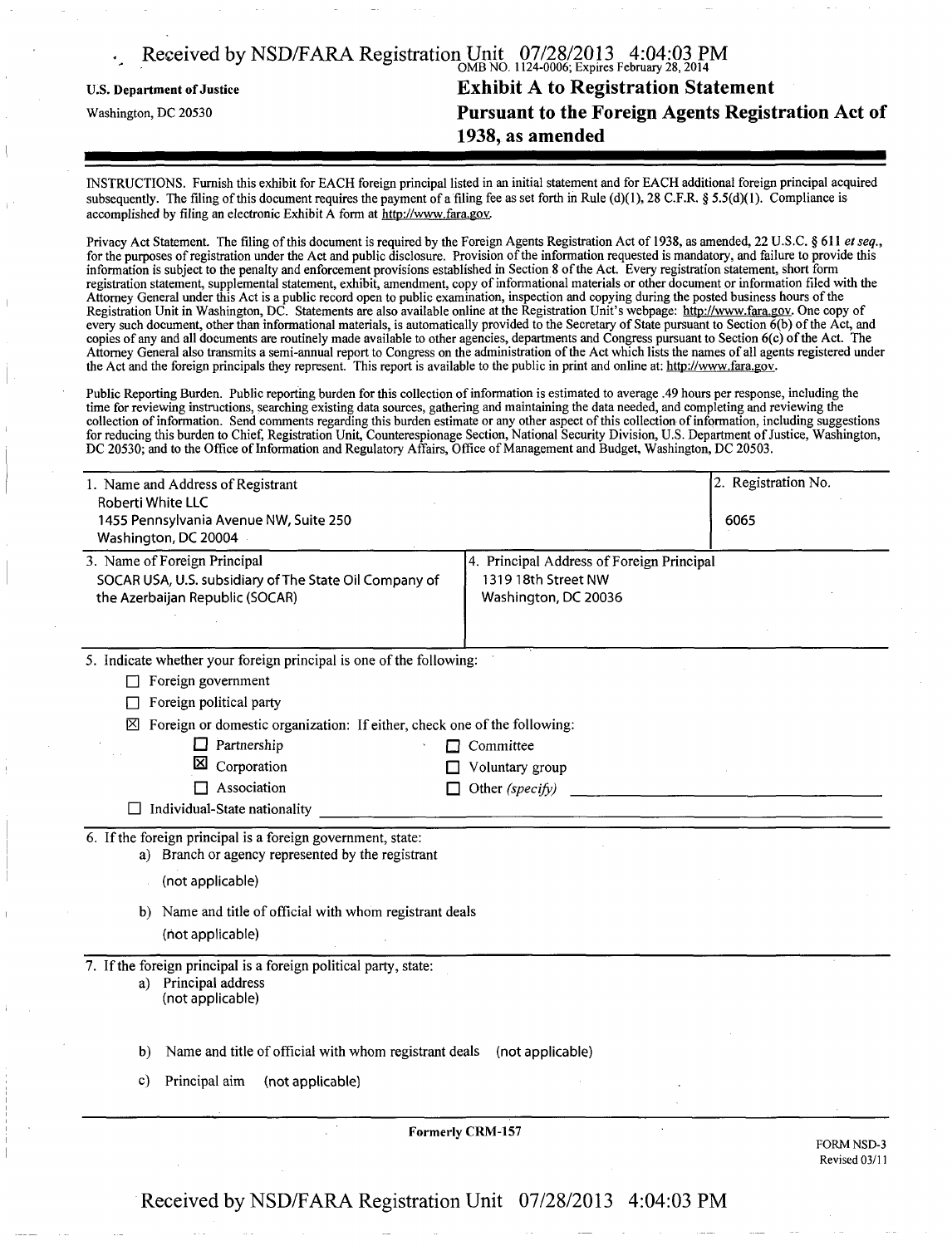| Received by NSD/FARA Registration Unit 07/28/2013 4:04:03 PM |                                                    |
|--------------------------------------------------------------|----------------------------------------------------|
| <b>U.S. Department of Justice</b>                            | <b>Exhibit A to Registration Statement</b>         |
| Washington, DC 20530                                         | Pursuant to the Foreign Agents Registration Act of |
|                                                              | 1938, as amended                                   |

INSTRUCTIONS. Furnish this exhibit for EACH foreign principal listed in an initial statement and for EACH additional foreign principal acquired subsequently. The filing of this document requires the payment of a filing fee as set forth in Rule (d)(1), 28 C.F.R. § 5.5(d)(1). Compliance is accomplished by filing an electronic Exhibit A form at [http://www.fara.gov.](http://www.fara.gov)

Privacy Act Statement. The filing of this document is required by the Foreign Agents Registration Act of 1938, as amended, 22 U.S.C. §611 et seq., for the purposes of registration under the Act and public disclosure. Provision ofthe information requested is mandatory, and failure to provide this information is subject to the penalty and enforcement provisions established in Section 8 ofthe Act. Every registration statement, short form registration statement, supplemental statement, exhibit, amendment, copy of informational materials or other document or information filed with the Attorney General under this Act is a public record open to public examination, inspection and copying during the posted business hours ofthe Registration Unit in Washington, DC. Statements are also available online at the Registration Unit's webpage: [http://www.fara.gov.](http://www.fara.gov) One copy of every such document, other than informational materials, is automatically provided to the Secretary of State pursuant to Section 6(b) ofthe Act, and copies of any and all documents are routinely made available to other agencies, departments and Congress pursuant to Section 6(c) ofthe Act. The Attorney General also transmits a semi-annual report to Congress on the administration ofthe Act which lists the names of all agents registered under the Act and the foreign principals they represent. This report is available to the public in print and online at: [http://www.fara.gov.](http://www.fara.gov)

Public Reporting Burden. Public reporting burden for this collection of information is estimated to average .49 hours per response, including the time for reviewing instructions, searching existing data sources, gathering and maintaining the data needed, and completing and reviewing the collection of information. Send comments regarding this burden estimate or any other aspect of this collection of information, including suggestions for reducing this burden to Chief, Registration Unit, Counterespionage Section, National Security Division, U.S. Department of Justice, Washington, DC 20530; and to the Office of Information and Regulatory Affairs, Office of Management and Budget, Washington, DC 20503.

| 1. Name and Address of Registrant<br>Roberti White LLC                   |                                           | 2. Registration No.                |
|--------------------------------------------------------------------------|-------------------------------------------|------------------------------------|
| 1455 Pennsylvania Avenue NW, Suite 250<br>Washington, DC 20004           |                                           | 6065                               |
| 3. Name of Foreign Principal                                             | 4. Principal Address of Foreign Principal |                                    |
| SOCAR USA, U.S. subsidiary of The State Oil Company of                   | 1319 18th Street NW                       |                                    |
| the Azerbaijan Republic (SOCAR)                                          | Washington, DC 20036                      |                                    |
|                                                                          |                                           |                                    |
| 5. Indicate whether your foreign principal is one of the following:      |                                           |                                    |
| Foreign government<br>П                                                  |                                           |                                    |
| Foreign political party                                                  |                                           |                                    |
| Foreign or domestic organization: If either, check one of the following: |                                           |                                    |
| $\Box$ Partnership<br>П                                                  | Committee                                 |                                    |
| ⊠<br>Corporation<br>П                                                    | Voluntary group                           |                                    |
| Association                                                              | Other (specify)                           |                                    |
| $\Box$ Individual-State nationality                                      |                                           |                                    |
| 6. If the foreign principal is a foreign government, state:              |                                           |                                    |
| a) Branch or agency represented by the registrant                        |                                           |                                    |
| (not applicable)                                                         |                                           |                                    |
| b) Name and title of official with whom registrant deals                 |                                           |                                    |
| (not applicable)                                                         |                                           |                                    |
| 7. If the foreign principal is a foreign political party, state:         |                                           |                                    |
| a) Principal address                                                     |                                           |                                    |
| (not applicable)                                                         |                                           |                                    |
|                                                                          |                                           |                                    |
| Name and title of official with whom registrant deals<br>b)              | (not applicable)                          |                                    |
| Principal aim<br>(not applicable)<br>C)                                  |                                           |                                    |
|                                                                          |                                           |                                    |
|                                                                          | <b>Formerly CRM-157</b>                   |                                    |
|                                                                          |                                           | <b>FORM NSD-3</b><br>Revised 03/11 |
|                                                                          |                                           |                                    |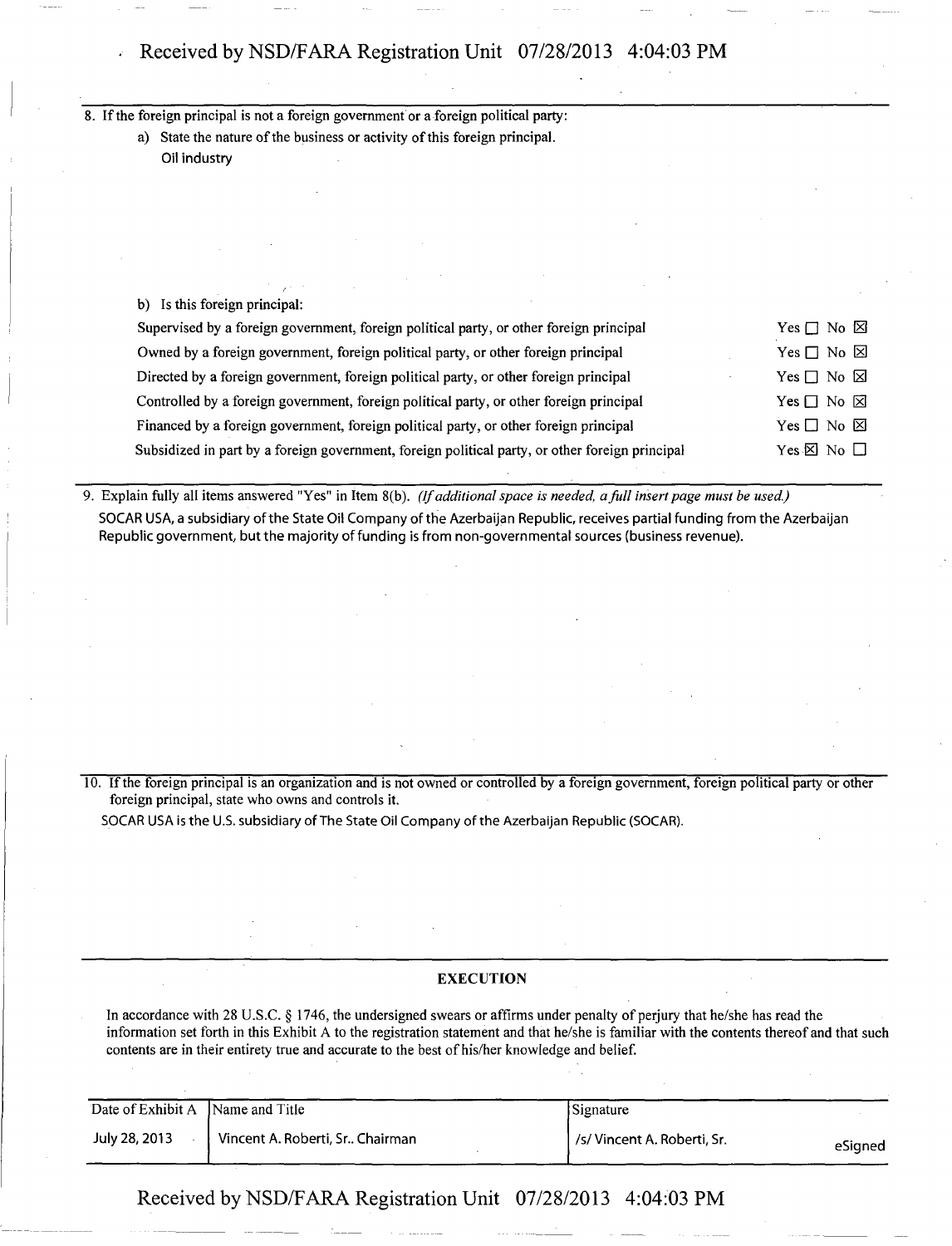## Received by NSD/FARA Registration Unit 07/28/2013 4:04:03 PM

8. If the foreign principal is not a foreign government or a foreign political party:

a) State the nature of the business or activity of this foreign principal. Oil industry

b) Is this foreign principal:

| Supervised by a foreign government, foreign political party, or other foreign principal         | Yes $\Box$ No $\boxtimes$ |
|-------------------------------------------------------------------------------------------------|---------------------------|
| Owned by a foreign government, foreign political party, or other foreign principal              | Yes $\Box$ No $\boxtimes$ |
| Directed by a foreign government, foreign political party, or other foreign principal           | Yes $\Box$ No $\boxtimes$ |
| Controlled by a foreign government, foreign political party, or other foreign principal         | Yes $\Box$ No $\boxtimes$ |
| Financed by a foreign government, foreign political party, or other foreign principal           | Yes $\Box$ No $\boxtimes$ |
| Subsidized in part by a foreign government, foreign political party, or other foreign principal | Yes $\boxtimes$ No $\Box$ |

9. Explain fully all items answered "Yes" in Item 8(b). (If additional space is needed, a full insert page must be used.) SOCAR USA, a subsidiary of the State Oil Company of the Azerbaijan Republic, receives partial funding from the Azerbaijan Republic government, but the majority of funding is from non-governmental sources (business revenue).

10. If the foreign principal is an organization and is not owned or controlled by a foreign government, foreign political party or other foreign principal, state who owns and controls it.

SOCAR USA is the U.S. subsidiary of The State Oil Company of the Azerbaijan Republic (SOCAR).

#### EXECUTION

In accordance with 28 U.S.C. § 1746, the undersigned swears or affirms under penalty of perjury that he/she has read the information set forth in this Exhibit A to the registration statement and that he/she is familiar with the contents thereof and that such contents are in their entirety true and accurate to the best of his/her knowledge and belief.

| Date of Exhibit A | Name and Title                  | <b>Signature</b>            |         |
|-------------------|---------------------------------|-----------------------------|---------|
| July 28, 2013     | Vincent A. Roberti, Sr Chairman | /s/ Vincent A. Roberti, Sr. | eSigned |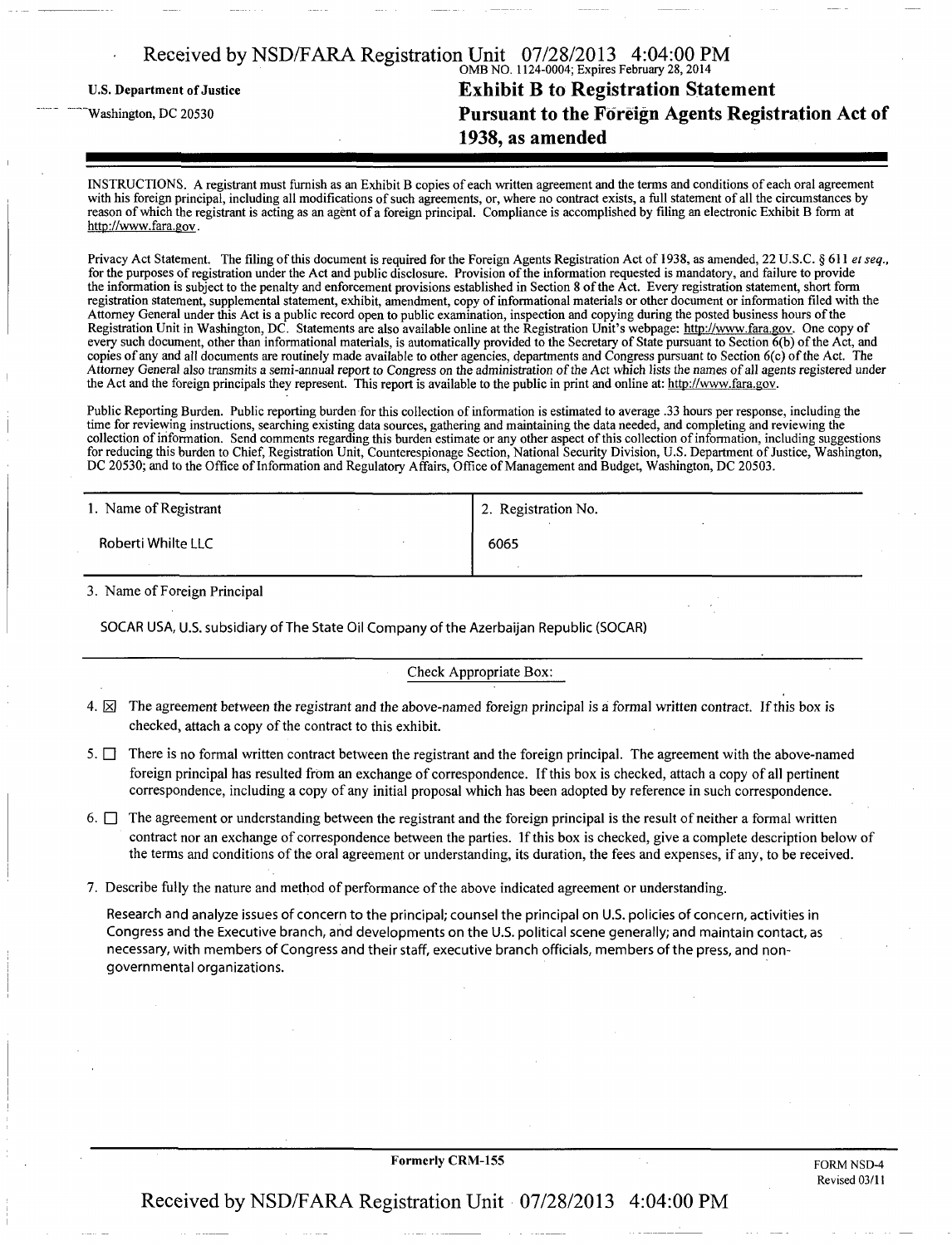|                                   | Received by NSD/FARA Registration Unit 07/28/2013 4:04:00 PM |
|-----------------------------------|--------------------------------------------------------------|
| <b>U.S. Department of Justice</b> | <b>Exhibit B to Registration Statement</b>                   |
| Washington, DC 20530              | Pursuant to the Foreign Agents Registration Act of           |
|                                   | 1938, as amended                                             |

INSTRUCTIONS. A registrant must furnish as an Exhibit B copies of each written agreement and the terms and conditions of each oral agreement with his foreign principal, including all modifications of such agreements, or, where no contract exists, a full statement of all the circumstances by reason of which the registrant is acting as an agent of a foreign principal. Compliance is accomplished by filing an electronic Exhibit B form at [http://www.fara.gov.](http://www.fara.gov)

Privacy Act Statement. The filing of this document is required for the Foreign Agents Registration Act of 1938, as amended, 22 U.S.C. § 611 et seq., for the purposes of registration under the Act and public disclosure. Provision of the information requested is mandatory, and failure to provide the information is subject to the penalty and enforcement provisions established in Section 8 ofthe Act. Every registration statement, short form registration statement, supplemental statement, exhibit, amendment, copy of informational materials or other document or information filed with the Attorney General under this Act is a public record open to public examination, inspection and copying during the posted business hours of the Registration Unit in Washington, DC. Statements are also available online at the Registration Unit's webpage: [http://www.fara.gov.](http://www.fara.gov) One copy of every such document, other than informational materials, is automatically provided to the Secretary of State pursuant to Section 6(b) of the Act, and every such document, other than informational materials, is automaticall copies of any and all documents are routinely made available to other agencies, departments and Congress pursuant to Section 6(c) ofthe Act. The Attorney General also transmits a semi-annual report to Congress on the administration ofthe Act which lists the names of all agents registered under the Act and the foreign principals they represent. This report is available to the public in print and online at: [http://www.fara.gov.](http://www.fara.gov)

Public Reporting Burden. Public reporting burden for this collection of information is estimated to average .33 hours per response, including the time for reviewing instructions, searching existing data sources, gathering and maintaining the data needed, and completing and reviewing the collection of information. Send comments regarding this burden estimate or any other aspect of this collection of information, including suggestions for reducing this burden to Chief, Registration Unit, Counterespionage Section, National Security Division, U.S. Department of Justice, Washington, DC 20530; and to the Office of Information and Regulatory Affairs, Office of Management and Budget, Washington, DC 20503.

| 1. Name of Registrant | 2. Registration No. |
|-----------------------|---------------------|
| Roberti Whilte LLC    | 6065                |
|                       |                     |

3. Name of Foreign Principal

SOCAR USA, U.S. subsidiary of The State Oil Company ofthe Azerbaijan Republic (SOCAR)

#### Check Appropriate Box:

- 4.  $\boxtimes$  The agreement between the registrant and the above-named foreign principal is a formal written contract. If this box is checked, attach a copy of the contract to this exhibit.
- 5.  $\Box$  There is no formal written contract between the registrant and the foreign principal. The agreement with the above-named foreign principal has resulted from an exchange of correspondence. If this box is checked, attach a copy of all pertinent correspondence, including a copy of any initial proposal which has been adopted by reference in such correspondence.
- 6.  $\Box$  The agreement or understanding between the registrant and the foreign principal is the result of neither a formal written contract nor an exchange of correspondence between the parties. If this box is checked, give a complete description below of the terms and conditions ofthe oral agreement or understanding, its duration, the fees and expenses, if any, to be received.
- 7. Describe fully the nature and method of performance ofthe above indicated agreement or understanding.

Research and analyze issues of concern to the principal; counsel the principal on U.S. policies of concern, activities in Congress and the Executive branch, and developments on the U.S. political scene generally; and maintain contact, as necessary, with members of Congress and their staff, executive branch officials, members ofthe press, and nongovernmental organizations.

Formerly CRM-155 FORM NSD-4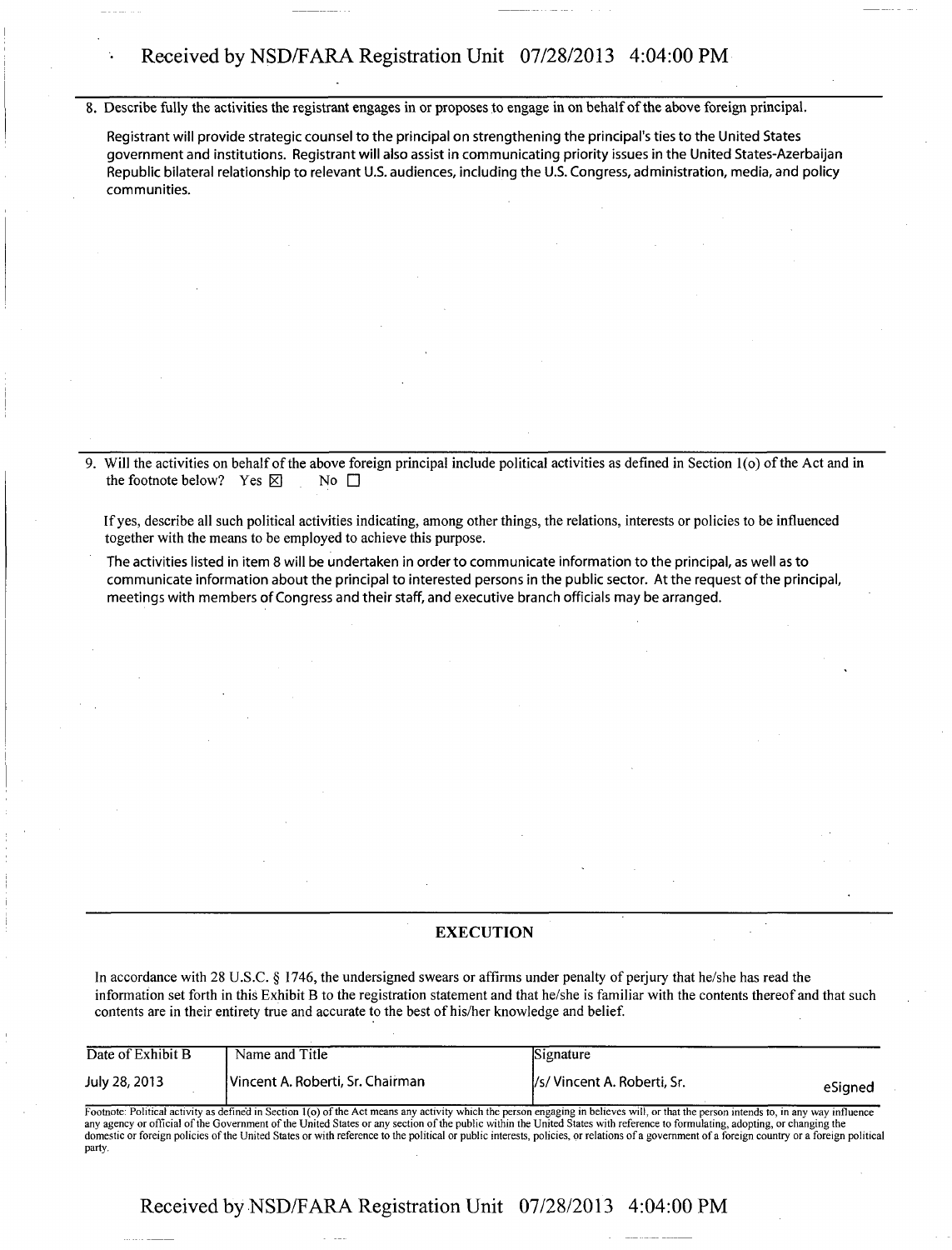## • Received by NSD/FARA Registration Unit 07/28/2013 4:04:00 PM

8. Describe fully the activities the registrant engages in or proposes to engage in on behalf of the above foreign principal.

Registrant will provide strategic counsel to the principal on strengthening the principal's ties to the United States government and institutions. Registrant will also assist in communicating priority issues in the United States-Azerbaijan Republic bilateral relationship to relevant U.S. audiences, including the U.S. Congress, administration, media, and policy communities.

Will the activities on behalf of the above foreign principal include political activities as defined in Section 1(o) of the Act and in the footnote below? Yes  $\boxtimes$  No  $\Box$ the footnote below? Yes  $\boxtimes$ 

If yes, describe all such political activities indicating, among other things, the relations, interests or policies to be influenced together with the means to be employed to achieve this purpose.

The activities listed in item 8 will be undertaken in order to communicate information to the principal, as well as to communicate information about the principal to interested persons in the public sector. At the request ofthe principal, meetings with members of Congress and their staff, and executive branch officials may be arranged.

#### **EXECUTION**

In accordance with 28 U.S.C. § 1746, the undersigned swears or affirms under penalty of perjury that he/she has read the information set forth in this Exhibit B to the registration statement and that he/she is familiar with the contents thereof and that such contents are in their entirety true and accurate to the best of his/her knowledge and belief.

| Date of Exhibit B | Name and Title                   | Signature                   |         |
|-------------------|----------------------------------|-----------------------------|---------|
| July 28, 2013     | Vincent A. Roberti, Sr. Chairman | /s/ Vincent A. Roberti, Sr. | eSianed |

Footnote: Political activity as defined in Section 1(o) of the Act means any activity which the person engaging in believes will, or that the person intends to, in any way influence<br>any agency or official of the Government domestic or foreign policies of the United States or with reference to the political or public interests, policies, or relations of a government of a foreign country or a foreign political party.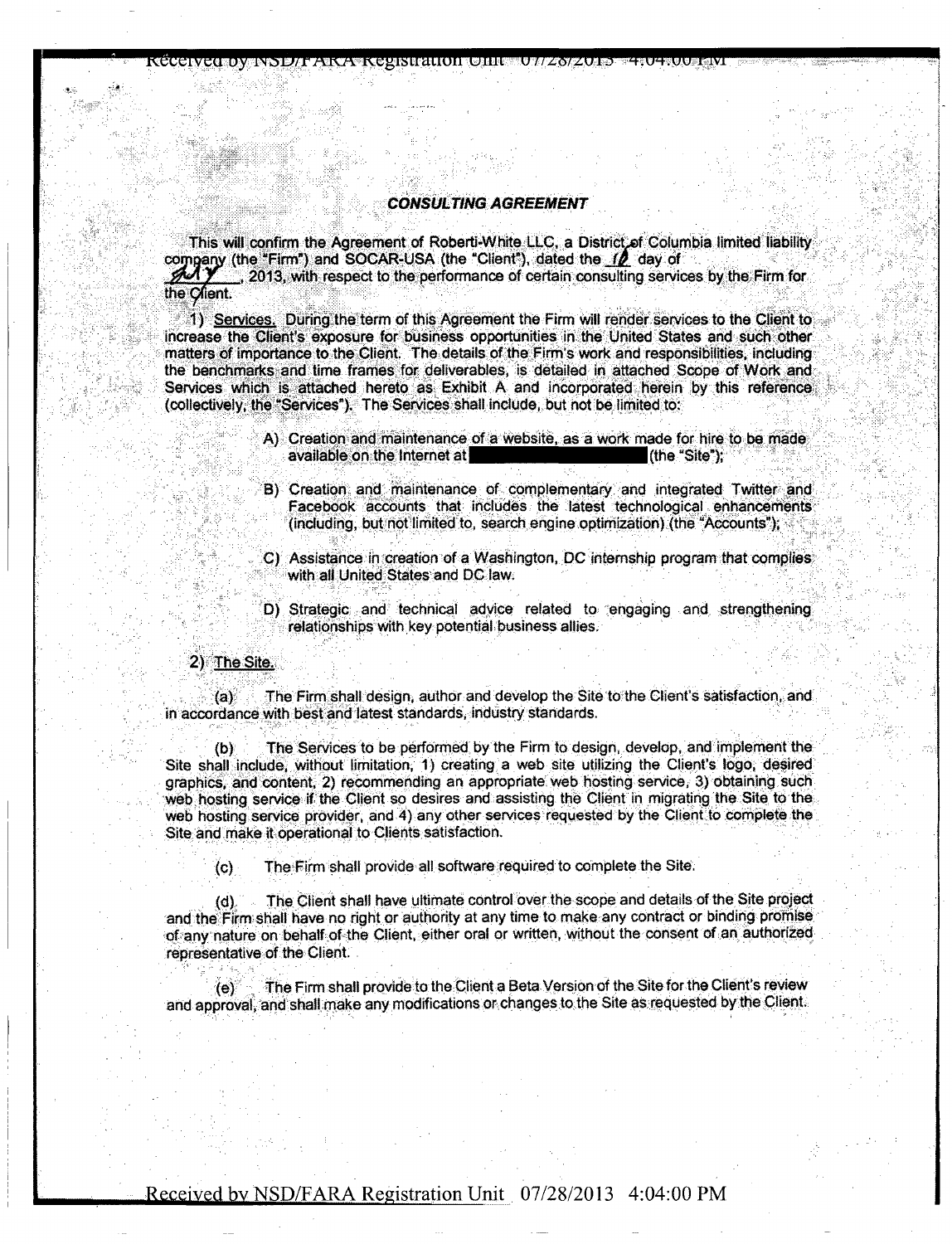#### CONSULTING AGREEMENT

rccovictu in other reservance in the contraction of the contraction of the contraction of the contraction of t

This will confirm the Agreement of Roberti-White LLC, a District of Columbia limited liability company (the "Firm") and SOCAR-USA (the "Client"), dated the **ID** day of ., 2013, with respect to the performance of certain consulting services by the Firm for the Client.

1) Services. During the term of this Agreement the Firm will render services to the Client to increase the Client's exposure for business opportunities in the United States and such other matters of importance to the Client. The details of the Firm's work and responsibilities, including the benchmarks and time frames for deliverables, is detailed in attached Scope of Work and Services which is attached hereto as Exhibit A and incorporated herein by this reference (collectively, the "Services"). The Services shall include, but not be limited to:

- A) Creation and maintenance of a website, as a work made for hire to be made available on the Internet at ••••^^•^^ 1 (the "Site");
- B) Creation and maintenance of complementary and integrated Twitter and Facebook accounts that includes the latest technological enhancements (including, but not limited to, search engine optimization) (the "Accounts");
- C) Assistance in creation of a Washington, DC internship program that complies with all United States and DC law.
- D) Strategic and technical advice related to engaging and strengthening relationships with key potential business allies.

#### 2) The Site.

(a) The Firm shall design, author and develop the Site to the Client's satisfaction, and in accordance with best and latest standards, industry standards.

(b) The Services to be performed by the Firm to design, develop, and implement the Site shall include, without limitation, 1) creating a web site utilizing the Client's logo, desired graphics, and content, 2) recommending an appropriate web hosting service, 3) obtaining such web hosting service if the Client so desires and assisting the Client in migrating the Site to the web hosting service provider, and 4) any other services requested by the Client to complete the Site and make it operational to Clients satisfaction.

(c) The Firm shall provide all software required to complete the Site.

(d) The Client shall have ultimate control over the scope and details of the Site project and the Firm shall have no right or authority at any time to make any contract or binding promise of any nature on behalf of the Client, either oral or written, without the consent of an authorizedrepresentative of the Client.

(e) The Firm shall provide to the Client a Beta Version of the Site for the Client's review and approval, and shall make any modifications or changes to the Site as requested by the Client.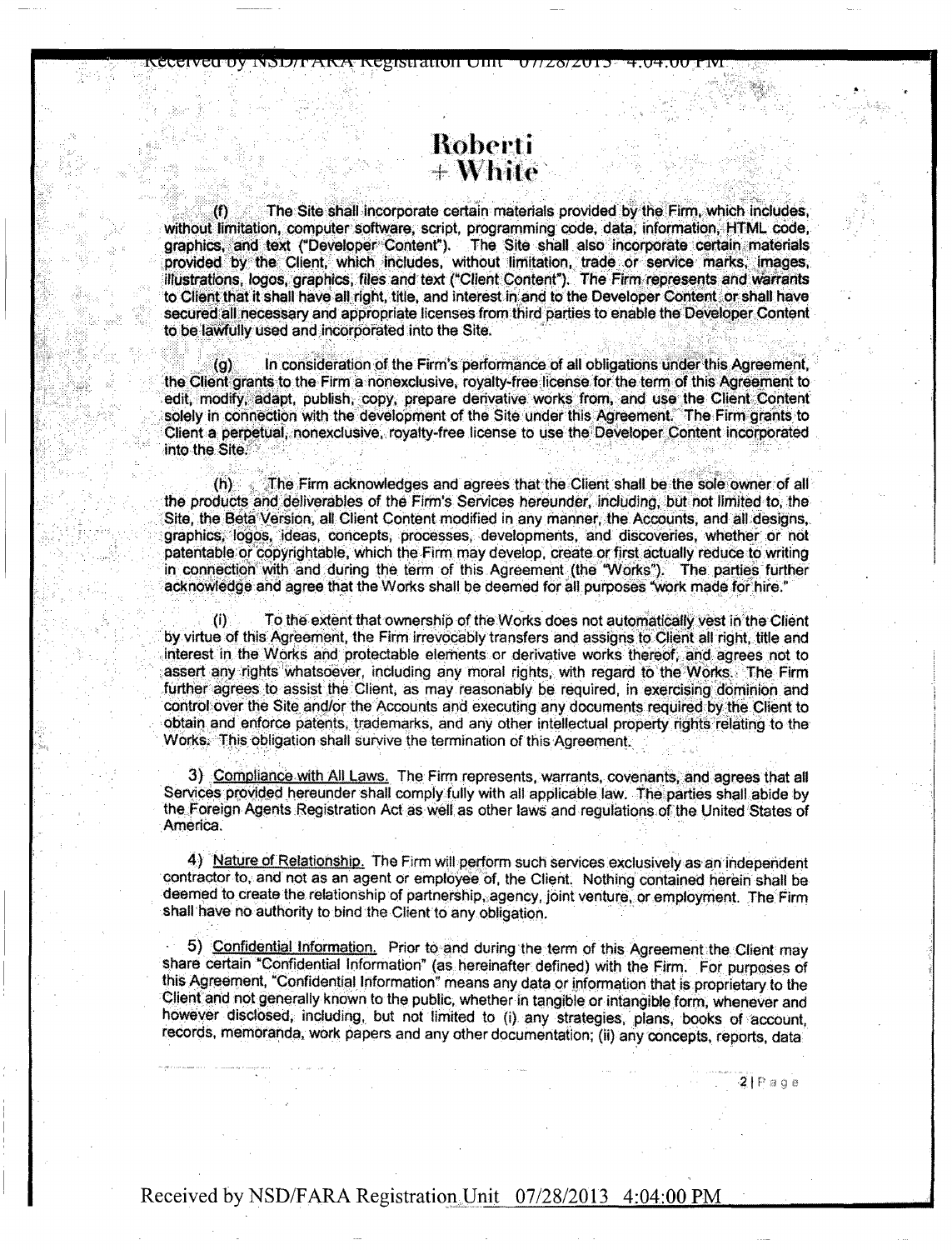## llobcri i  $+$  White

WEIGIVEL UY INDIDIT AINA REGISTRIUUT UHLU U 11 Z.O/ Z.UT.D

The Site shall incorporate certain materials provided by the Firm, which includes, without limitation, computer software, script, programming code, data, information, HTML code, graphics, and text ("Developer Content"). The Site shall also incorporate certain materials provided by the Client, which includes, without limitation, trade or service marks, images, illustrations, logos, graphics, files and text ("Client Content"). The Firm represents and warrants to Client that it shall have all right, title, and interest in and to the Developer Content or shall have secured all necessary and appropriate licenses from third parties to enable the Developer Content to be lawfully used and incorporated into the Site.

(g) In consideration of the Firm's performance of all obligations under this Agreement, the Client grants to the Firm a nonexclusive, royalty-free license for the term of this Agreement to edit, modify, adapt, publish, copy, prepare derivative works from, and use the Client Content solely in connection with the development of the Site under this Agreement. The Firm grants to Client a perpetual, nonexclusive, royalty-free license to use the Developer Content incorporated into the Site.

 $(h)$  The Firm acknowledges and agrees that the Client shall be the sole owner of all the products and deliverables of the Firm's Services hereunder, including, but not limited to, the Site, the Beta Version, all Client Content modified in any manner, the Accounts, and all designs, graphics, logos, ideas, concepts, processes, developments, and discoveries, whether or not patentable or copyrightable, which the Firm may develop, create or first actually reduce to writing in connection with and during the term of this Agreement (the "Works"). The parties further acknowledge and agree that the Works shall be deemed for all purposes "work made for hire."

(i) To the extent that ownership of the Works does not automatically vest in the Client by virtue of this Agreement, the Firm irrevocably transfers and assigns to Client all right, title and interest in the Works and protectable elements or derivative works thereof, and agrees not to assert any rights whatsoever, including any moral rights, with regard to the Works. The Firm further agrees to assist the Client, as may reasonably be required, in exercising dominion and control over the Site and/or the Accounts and executing any documents required by the Client to obtain and enforce patents, trademarks, and any other intellectual property rights relating to the Works. This obligation shail survive the termination of this Agreement.

3) Compliance with All Laws, The Firm represents, warrants, covenants, and agrees that all Services provided hereunder shall comply fully with all applicable law. The parties shall abide by the Foreign Agents Registration Act as well as other laws and requilations of the United States of .America.

4) Nature of Relationship. The Firm will perform such services exclusively as an independent contractor to, and not as an agent or employee of, the Client. Nothing contained herein shall be deemed to create the relationship of partnership, agency, joint venture, or employment. The Firm shall have ho authority to bind the Client to any obligation.

5). Confidential Information. Prior to and during the term of this Agreement the Client may share certain "Confidential Information" (as hereinafter defined) with the Firm. For purposes of this Agreement, "Confidential Information" means any data or information that is proprietary to the Client and not generally known to the public, whether in tangible or intangible form, whenever and however disclosed, including, but not limited to (i) any strategies, plans, books of account, records, memoranda, work papers and any other documentation; (ii) any concepts, reports, data:

 $2$  $P$ aqe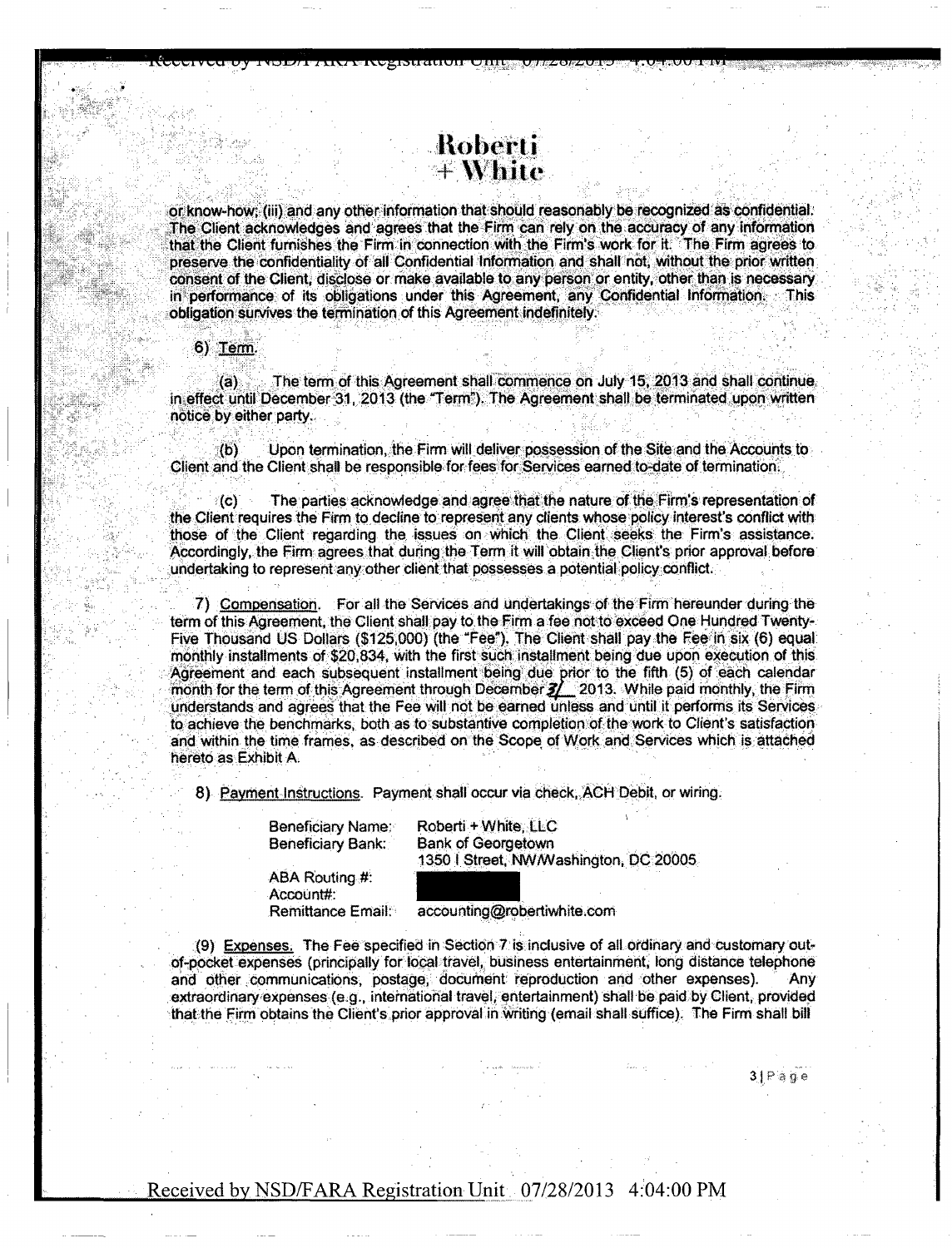or know-how; (iii) and any other information that should reasonably be recognized as confidential. The Client acknowledges and agrees that the Firm can rely on the accuracy of any information that the Client furnishes the Firm in connection with the Firm's work for it. The Firm agrees to preserve the confidentiality of all Confidential Information and shall not, without the prior written consent of the Client, disclose or make available to any person or entity, other than is necessary in performance of its obligations under this Agreement, any Confidential Information. This obligation survives the termination of this Agreement indefinitely,

Roberti  $+$  White

TVZTVIVI I IVZI JEHU VIII JEZOZVI 2

6) Term.

(a) The term of this Agreement shall commence on July 15, 2013 and shall continue in effect until December 31, 2013 (the "Term"). The Agreement shall be terminated upon written notice by either party.

(b) Upon termination, the Firm will deliver possession of the Site and the Accounts to Client and the Client shall be responsible for fees for Services earned to-date of termination.

(c) The parties acknowledge and agree that the nature of the Firm's representation of the Client requires the Firm to decline to represent any clients whose policy interest's conflict with those of the Client regarding the issues on which the Client seeks the Firm's assistance. Accordingly, the Firm agrees that during,the Term it will obtain the Client's prior approval before undertaking to represent any other client that possesses a potential policy conflict.

7) Compensation. For all the Services and undertakings of the Firm hereunder during the term of this Agreement, the Client shall pay to the Firm a fee not to exceed One Hundred Twenty-Five Thousand US Dollars (\$125,000) (the "Fee"). The Client shall pay the Fee in six (6) equal monthly installments of \$20,834, with the first such installment being due upon execution of this Agreement and each subsequent installment being due prior to the fifth (5) of each calendar month for the term of this Agreement through December  $2/$  2013. While paid monthly, the Firm understands and agrees that the Fee will not be earned unless and until it performs its Services to achieve the benchmarks, both as to substantive completion of the work to Client's satisfaction and within the time frames, as described on the Scope of Work and Services which is attached hereto as Exhibit A.

8) Payment Instructions. Payment shall occur via check, ACH Debit, or wiring.

Beneficiary Name: Roberti + White, LLC Beneficiary Bank: Bank of Georgetown<br>1350 | Street, NW/Washington, DC 20005

ABA Routing #: Account#:<br>Remittance Email:

accounting@robertiwhite.com

(9) Expenses. The Fee specified in Section 7 is inclusive of all ordinary and customary outof-pocket expenses (principally for local travel, business entertainment, long distance telephone<br>and other communications: postage: document reproduction and other expenses). Any and other communications, postage, document reproduction and other expenses). extraordinary expenses (e.g., international travel, entertainment) shall be paid by Client, provided thafethe Firm obtains the Client's prior approval in vvritihg (email shall suffice), The Firm shall bill

 $31$  Page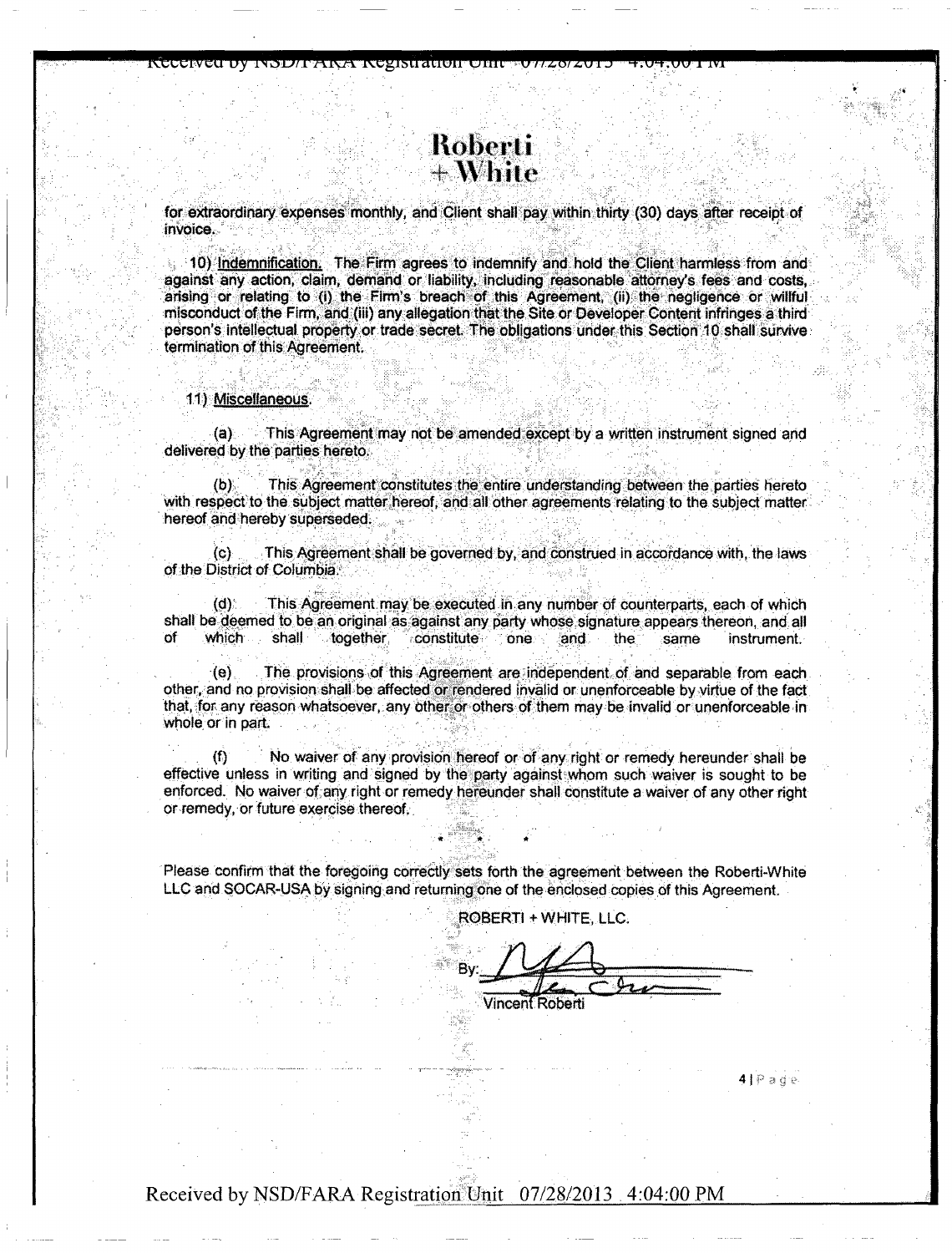# Roberti  $+\mathbf{W}$ hite

jrccchvcu dy INOL/Iranga Rozisuatiwr Ofiic sy 1/40/40 e

for extraordinary expenses monthly, and Client shall pay within thirty (30) days after receipt of invoice.

10) Indemnification. The Firm agrees to indemnify and hold the Client harmless from and against any action, claim, demand or liability, including reasonable attorney's fees and costs, arising or relating to (i) the Firm's breach of this Agreement, (ii) the negligence or willful misconduct of the Firm, and (iii) any allegation that the Site or Developer Content infringes a third person's intellectual property or trade secret. The obligations under this Section 10 shall survive termination of this Agreement.

#### 11) Miscellaneous.

(a) This Agreement may not be amended except by a written instrument signed arid delivered by the parties hereto.

(b) This Agreement constitutes the entire understanding between the parties hereto with respect to the subject matter hereof, and all other agreements relating to the subject matter hereof and hereby superseded.

(c) This Agreement shall be governed by, and construed in accordance with, the laws of the District of Columbia.

(d) This Agreement may be executed in any number of counterparts, each of which shall be deemed to be an original as against any party whose signature appears thereon, and all<br>of which shall together constitute one and the same instrument. of which shall together constitute one and the same instrument.

(e) The provisions of this Agreement are independent of and separable from each other, and no provision shall be affected or rendered invalid or unenforceable by virtue of the fact that, for any reason whatsoever, any other or others of them may be invalid or unenforceable in whole or in part.

(f) No waiver of any provision hereof or of any right or remedy hereunder shall be effective unless in writing and signed by the party against whom such waiver is sought to be enforced. No waiver of any right or remedy hereunder shall constitute a waiver of any other right or remedy, or future exercise thereof.

Please confirm that the foregoing correctly sets forth the agreement between the Roberti-White LLC and SOCAR-USA by signing and returning one of the enclosed copies of this Agreement.

ROBERTI \* WHITE, LLC.

By:  $z_0$  Chec **Vincent Roberti** 

4|Page